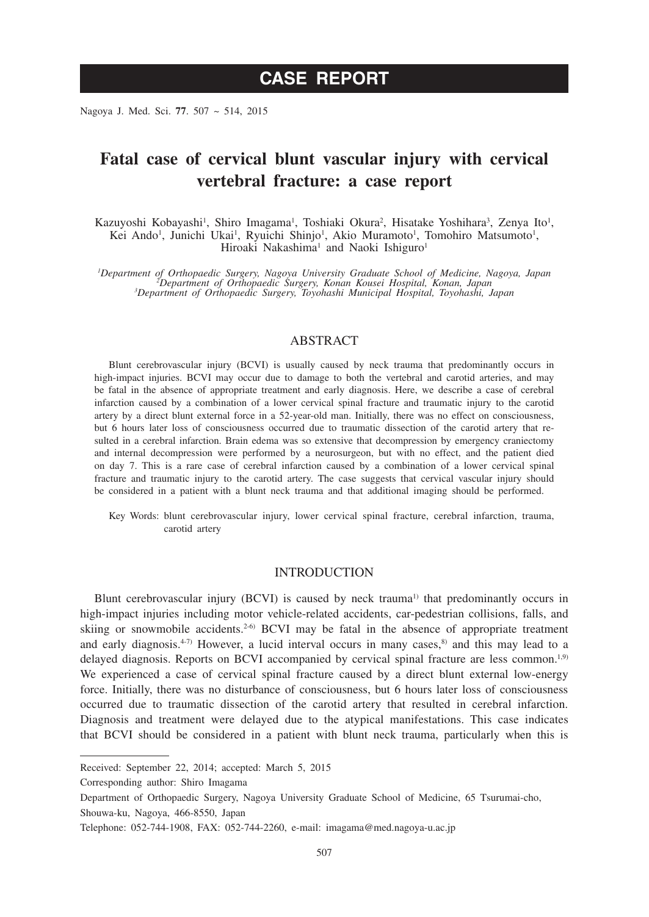Nagoya J. Med. Sci. **77**. 507 ~ 514, 2015

# **Fatal case of cervical blunt vascular injury with cervical vertebral fracture: a case report**

Kazuyoshi Kobayashi<sup>1</sup>, Shiro Imagama<sup>1</sup>, Toshiaki Okura<sup>2</sup>, Hisatake Yoshihara<sup>3</sup>, Zenya Ito<sup>1</sup>, Kei Ando<sup>1</sup>, Junichi Ukai<sup>1</sup>, Ryuichi Shinjo<sup>1</sup>, Akio Muramoto<sup>1</sup>, Tomohiro Matsumoto<sup>1</sup>, Hiroaki Nakashima<sup>1</sup> and Naoki Ishiguro<sup>1</sup>

*1 Department of Orthopaedic Surgery, Nagoya University Graduate School of Medicine, Nagoya, Japan <sup>2</sup> Department of Orthopaedic Surgery, Konan Kousei Hospital, Konan, Japan <sup>3</sup> Department of Orthopaedic Surgery, Toyohashi Municipal Hospital, Toyohashi, Japan*

## ABSTRACT

Blunt cerebrovascular injury (BCVI) is usually caused by neck trauma that predominantly occurs in high-impact injuries. BCVI may occur due to damage to both the vertebral and carotid arteries, and may be fatal in the absence of appropriate treatment and early diagnosis. Here, we describe a case of cerebral infarction caused by a combination of a lower cervical spinal fracture and traumatic injury to the carotid artery by a direct blunt external force in a 52-year-old man. Initially, there was no effect on consciousness, but 6 hours later loss of consciousness occurred due to traumatic dissection of the carotid artery that resulted in a cerebral infarction. Brain edema was so extensive that decompression by emergency craniectomy and internal decompression were performed by a neurosurgeon, but with no effect, and the patient died on day 7. This is a rare case of cerebral infarction caused by a combination of a lower cervical spinal fracture and traumatic injury to the carotid artery. The case suggests that cervical vascular injury should be considered in a patient with a blunt neck trauma and that additional imaging should be performed.

Key Words: blunt cerebrovascular injury, lower cervical spinal fracture, cerebral infarction, trauma, carotid artery

### **INTRODUCTION**

Blunt cerebrovascular injury (BCVI) is caused by neck trauma<sup>1)</sup> that predominantly occurs in high-impact injuries including motor vehicle-related accidents, car-pedestrian collisions, falls, and skiing or snowmobile accidents.<sup>2-6)</sup> BCVI may be fatal in the absence of appropriate treatment and early diagnosis.<sup>4-7)</sup> However, a lucid interval occurs in many cases,<sup>8)</sup> and this may lead to a delayed diagnosis. Reports on BCVI accompanied by cervical spinal fracture are less common.<sup>1,9)</sup> We experienced a case of cervical spinal fracture caused by a direct blunt external low-energy force. Initially, there was no disturbance of consciousness, but 6 hours later loss of consciousness occurred due to traumatic dissection of the carotid artery that resulted in cerebral infarction. Diagnosis and treatment were delayed due to the atypical manifestations. This case indicates that BCVI should be considered in a patient with blunt neck trauma, particularly when this is

Received: September 22, 2014; accepted: March 5, 2015

Corresponding author: Shiro Imagama

Department of Orthopaedic Surgery, Nagoya University Graduate School of Medicine, 65 Tsurumai-cho, Shouwa-ku, Nagoya, 466-8550, Japan

Telephone: 052-744-1908, FAX: 052-744-2260, e-mail: imagama@med.nagoya-u.ac.jp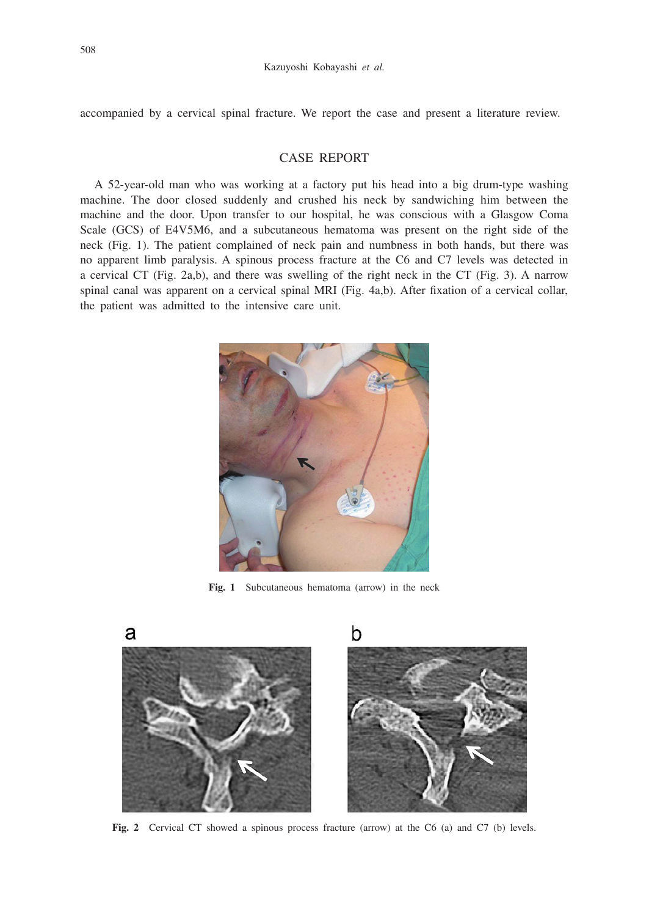accompanied by a cervical spinal fracture. We report the case and present a literature review.

## CASE REPORT

A 52-year-old man who was working at a factory put his head into a big drum-type washing machine. The door closed suddenly and crushed his neck by sandwiching him between the machine and the door. Upon transfer to our hospital, he was conscious with a Glasgow Coma Scale (GCS) of E4V5M6, and a subcutaneous hematoma was present on the right side of the neck (Fig. 1). The patient complained of neck pain and numbness in both hands, but there was no apparent limb paralysis. A spinous process fracture at the C6 and C7 levels was detected in a cervical CT (Fig. 2a,b), and there was swelling of the right neck in the CT (Fig. 3). A narrow spinal canal was apparent on a cervical spinal MRI (Fig. 4a,b). After fixation of a cervical collar, the patient was admitted to the intensive care unit.



**Fig. 1** Subcutaneous hematoma (arrow) in the neck



Fig. 2 Cervical CT showed a spinous process fracture (arrow) at the C6 (a) and C7 (b) levels.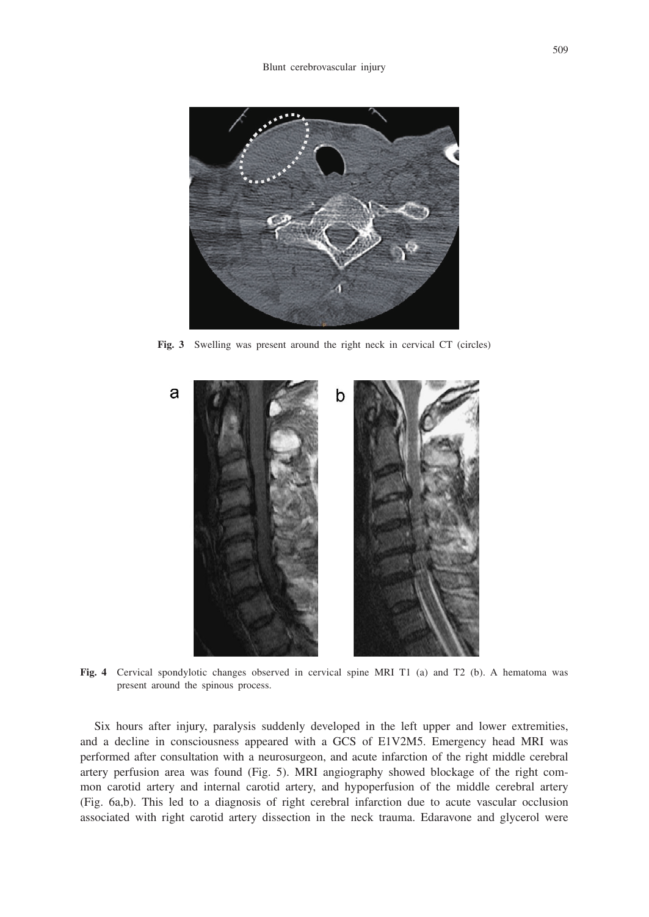

**Fig. 3** Swelling was present around the right neck in cervical CT (circles)



**Fig. 4** Cervical spondylotic changes observed in cervical spine MRI T1 (a) and T2 (b). A hematoma was present around the spinous process.

Six hours after injury, paralysis suddenly developed in the left upper and lower extremities, and a decline in consciousness appeared with a GCS of E1V2M5. Emergency head MRI was performed after consultation with a neurosurgeon, and acute infarction of the right middle cerebral artery perfusion area was found (Fig. 5). MRI angiography showed blockage of the right common carotid artery and internal carotid artery, and hypoperfusion of the middle cerebral artery (Fig. 6a,b). This led to a diagnosis of right cerebral infarction due to acute vascular occlusion associated with right carotid artery dissection in the neck trauma. Edaravone and glycerol were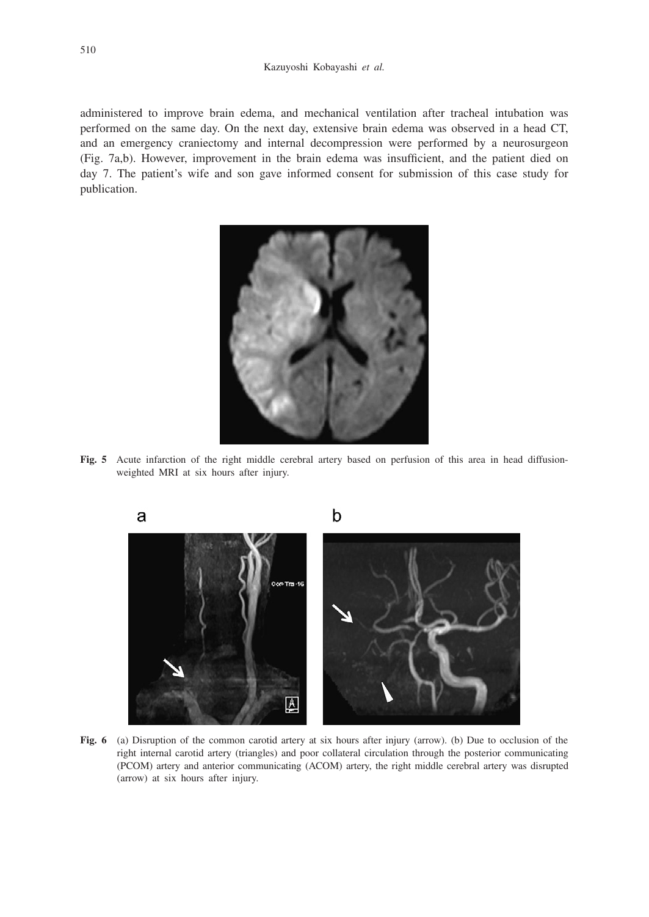administered to improve brain edema, and mechanical ventilation after tracheal intubation was performed on the same day. On the next day, extensive brain edema was observed in a head CT, and an emergency craniectomy and internal decompression were performed by a neurosurgeon (Fig. 7a,b). However, improvement in the brain edema was insufficient, and the patient died on day 7. The patient's wife and son gave informed consent for submission of this case study for publication.



**Fig. 5** Acute infarction of the right middle cerebral artery based on perfusion of this area in head diffusionweighted MRI at six hours after injury.



**Fig. 6** (a) Disruption of the common carotid artery at six hours after injury (arrow). (b) Due to occlusion of the right internal carotid artery (triangles) and poor collateral circulation through the posterior communicating (PCOM) artery and anterior communicating (ACOM) artery, the right middle cerebral artery was disrupted (arrow) at six hours after injury.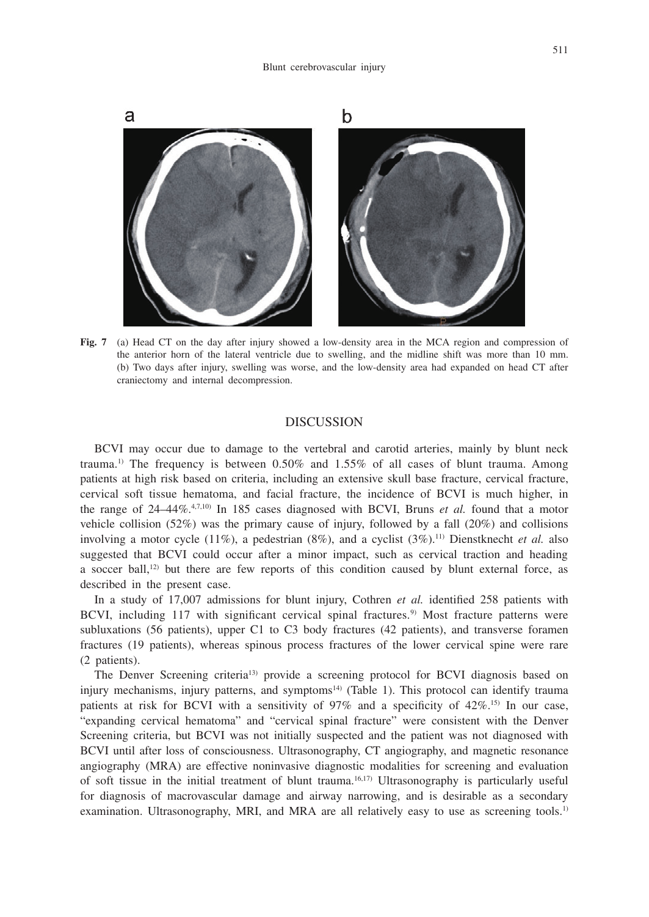

**Fig. 7** (a) Head CT on the day after injury showed a low-density area in the MCA region and compression of the anterior horn of the lateral ventricle due to swelling, and the midline shift was more than 10 mm. (b) Two days after injury, swelling was worse, and the low-density area had expanded on head CT after craniectomy and internal decompression.

#### **DISCUSSION**

BCVI may occur due to damage to the vertebral and carotid arteries, mainly by blunt neck trauma.<sup>1)</sup> The frequency is between  $0.50\%$  and  $1.55\%$  of all cases of blunt trauma. Among patients at high risk based on criteria, including an extensive skull base fracture, cervical fracture, cervical soft tissue hematoma, and facial fracture, the incidence of BCVI is much higher, in the range of 24–44%<sup>4,7,10</sup> In 185 cases diagnosed with BCVI, Bruns *et al.* found that a motor vehicle collision (52%) was the primary cause of injury, followed by a fall (20%) and collisions involving a motor cycle (11%), a pedestrian (8%), and a cyclist (3%).11) Dienstknecht *et al.* also suggested that BCVI could occur after a minor impact, such as cervical traction and heading a soccer ball,<sup>12)</sup> but there are few reports of this condition caused by blunt external force, as described in the present case.

In a study of 17,007 admissions for blunt injury, Cothren *et al.* identified 258 patients with BCVI, including 117 with significant cervical spinal fractures.<sup>9)</sup> Most fracture patterns were subluxations (56 patients), upper C1 to C3 body fractures (42 patients), and transverse foramen fractures (19 patients), whereas spinous process fractures of the lower cervical spine were rare (2 patients).

The Denver Screening criteria13) provide a screening protocol for BCVI diagnosis based on injury mechanisms, injury patterns, and symptoms<sup>14)</sup> (Table 1). This protocol can identify trauma patients at risk for BCVI with a sensitivity of  $97\%$  and a specificity of  $42\%.$ <sup>5)</sup> In our case, "expanding cervical hematoma" and "cervical spinal fracture" were consistent with the Denver Screening criteria, but BCVI was not initially suspected and the patient was not diagnosed with BCVI until after loss of consciousness. Ultrasonography, CT angiography, and magnetic resonance angiography (MRA) are effective noninvasive diagnostic modalities for screening and evaluation of soft tissue in the initial treatment of blunt trauma.16,17) Ultrasonography is particularly useful for diagnosis of macrovascular damage and airway narrowing, and is desirable as a secondary examination. Ultrasonography, MRI, and MRA are all relatively easy to use as screening tools.<sup>1)</sup>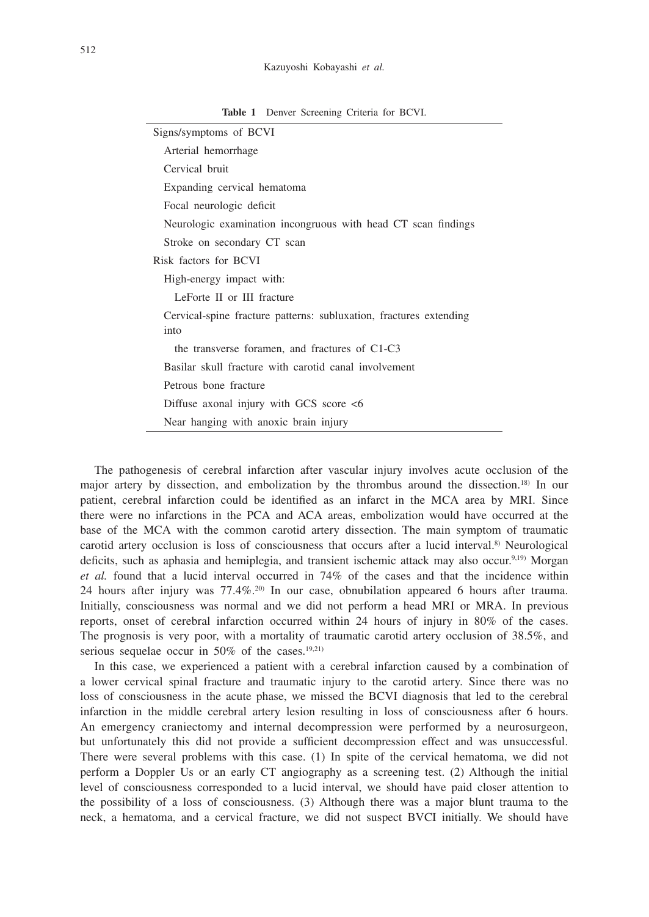| Signs/symptoms of BCVI                                             |
|--------------------------------------------------------------------|
| Arterial hemorrhage                                                |
| Cervical bruit                                                     |
| Expanding cervical hematoma                                        |
| Focal neurologic deficit                                           |
| Neurologic examination incongruous with head CT scan findings      |
| Stroke on secondary CT scan                                        |
| Risk factors for BCVI                                              |
| High-energy impact with:                                           |
| LeForte II or III fracture                                         |
| Cervical-spine fracture patterns: subluxation, fractures extending |
| into                                                               |
| the transverse foramen, and fractures of C1-C3                     |
| Basilar skull fracture with carotid canal involvement              |
| Petrous bone fracture                                              |
| Diffuse axonal injury with GCS score $<6$                          |
| Near hanging with anoxic brain injury                              |

**Table 1** Denver Screening Criteria for BCVI.

The pathogenesis of cerebral infarction after vascular injury involves acute occlusion of the major artery by dissection, and embolization by the thrombus around the dissection.18) In our patient, cerebral infarction could be identified as an infarct in the MCA area by MRI. Since there were no infarctions in the PCA and ACA areas, embolization would have occurred at the base of the MCA with the common carotid artery dissection. The main symptom of traumatic carotid artery occlusion is loss of consciousness that occurs after a lucid interval.<sup>8)</sup> Neurological deficits, such as aphasia and hemiplegia, and transient ischemic attack may also occur.9,19) Morgan *et al.* found that a lucid interval occurred in 74% of the cases and that the incidence within 24 hours after injury was 77.4%.20) In our case, obnubilation appeared 6 hours after trauma. Initially, consciousness was normal and we did not perform a head MRI or MRA. In previous reports, onset of cerebral infarction occurred within 24 hours of injury in 80% of the cases. The prognosis is very poor, with a mortality of traumatic carotid artery occlusion of 38.5%, and serious sequelae occur in  $50\%$  of the cases.<sup>19,21)</sup>

In this case, we experienced a patient with a cerebral infarction caused by a combination of a lower cervical spinal fracture and traumatic injury to the carotid artery. Since there was no loss of consciousness in the acute phase, we missed the BCVI diagnosis that led to the cerebral infarction in the middle cerebral artery lesion resulting in loss of consciousness after 6 hours. An emergency craniectomy and internal decompression were performed by a neurosurgeon, but unfortunately this did not provide a sufficient decompression effect and was unsuccessful. There were several problems with this case. (1) In spite of the cervical hematoma, we did not perform a Doppler Us or an early CT angiography as a screening test. (2) Although the initial level of consciousness corresponded to a lucid interval, we should have paid closer attention to the possibility of a loss of consciousness. (3) Although there was a major blunt trauma to the neck, a hematoma, and a cervical fracture, we did not suspect BVCI initially. We should have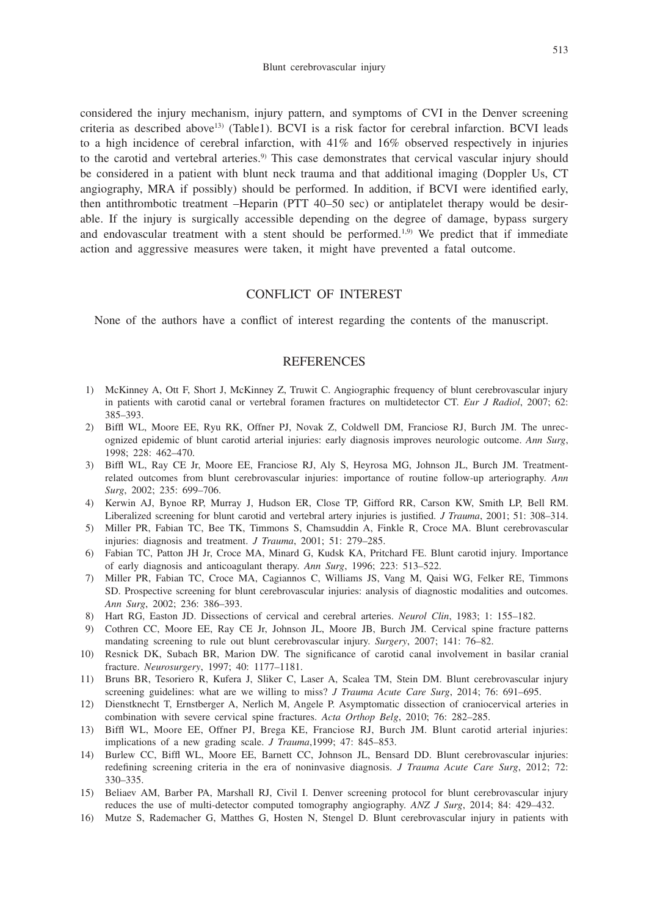considered the injury mechanism, injury pattern, and symptoms of CVI in the Denver screening criteria as described above13) (Table1). BCVI is a risk factor for cerebral infarction. BCVI leads to a high incidence of cerebral infarction, with 41% and 16% observed respectively in injuries to the carotid and vertebral arteries.<sup>9)</sup> This case demonstrates that cervical vascular injury should be considered in a patient with blunt neck trauma and that additional imaging (Doppler Us, CT angiography, MRA if possibly) should be performed. In addition, if BCVI were identified early, then antithrombotic treatment –Heparin (PTT 40–50 sec) or antiplatelet therapy would be desirable. If the injury is surgically accessible depending on the degree of damage, bypass surgery and endovascular treatment with a stent should be performed.<sup>1,9)</sup> We predict that if immediate action and aggressive measures were taken, it might have prevented a fatal outcome.

## CONFLICT OF INTEREST

None of the authors have a conflict of interest regarding the contents of the manuscript.

#### REFERENCES

- 1) McKinney A, Ott F, Short J, McKinney Z, Truwit C. Angiographic frequency of blunt cerebrovascular injury in patients with carotid canal or vertebral foramen fractures on multidetector CT. *Eur J Radiol*, 2007; 62: 385–393.
- 2) Biffl WL, Moore EE, Ryu RK, Offner PJ, Novak Z, Coldwell DM, Franciose RJ, Burch JM. The unrecognized epidemic of blunt carotid arterial injuries: early diagnosis improves neurologic outcome. *Ann Surg*, 1998; 228: 462–470.
- 3) Biffl WL, Ray CE Jr, Moore EE, Franciose RJ, Aly S, Heyrosa MG, Johnson JL, Burch JM. Treatmentrelated outcomes from blunt cerebrovascular injuries: importance of routine follow-up arteriography. *Ann Surg*, 2002; 235: 699–706.
- 4) Kerwin AJ, Bynoe RP, Murray J, Hudson ER, Close TP, Gifford RR, Carson KW, Smith LP, Bell RM. Liberalized screening for blunt carotid and vertebral artery injuries is justified. *J Trauma*, 2001; 51: 308–314.
- 5) Miller PR, Fabian TC, Bee TK, Timmons S, Chamsuddin A, Finkle R, Croce MA. Blunt cerebrovascular injuries: diagnosis and treatment. *J Trauma*, 2001; 51: 279–285.
- 6) Fabian TC, Patton JH Jr, Croce MA, Minard G, Kudsk KA, Pritchard FE. Blunt carotid injury. Importance of early diagnosis and anticoagulant therapy. *Ann Surg*, 1996; 223: 513–522.
- 7) Miller PR, Fabian TC, Croce MA, Cagiannos C, Williams JS, Vang M, Qaisi WG, Felker RE, Timmons SD. Prospective screening for blunt cerebrovascular injuries: analysis of diagnostic modalities and outcomes. *Ann Surg*, 2002; 236: 386–393.
- 8) Hart RG, Easton JD. Dissections of cervical and cerebral arteries. *Neurol Clin*, 1983; 1: 155–182.
- 9) Cothren CC, Moore EE, Ray CE Jr, Johnson JL, Moore JB, Burch JM. Cervical spine fracture patterns mandating screening to rule out blunt cerebrovascular injury. *Surgery*, 2007; 141: 76–82.
- 10) Resnick DK, Subach BR, Marion DW. The significance of carotid canal involvement in basilar cranial fracture. *Neurosurgery*, 1997; 40: 1177–1181.
- 11) Bruns BR, Tesoriero R, Kufera J, Sliker C, Laser A, Scalea TM, Stein DM. Blunt cerebrovascular injury screening guidelines: what are we willing to miss? *J Trauma Acute Care Surg*, 2014; 76: 691–695.
- 12) Dienstknecht T, Ernstberger A, Nerlich M, Angele P. Asymptomatic dissection of craniocervical arteries in combination with severe cervical spine fractures. *Acta Orthop Belg*, 2010; 76: 282–285.
- 13) Biffl WL, Moore EE, Offner PJ, Brega KE, Franciose RJ, Burch JM. Blunt carotid arterial injuries: implications of a new grading scale. *J Trauma*,1999; 47: 845–853.
- 14) Burlew CC, Biffl WL, Moore EE, Barnett CC, Johnson JL, Bensard DD. Blunt cerebrovascular injuries: redefining screening criteria in the era of noninvasive diagnosis. *J Trauma Acute Care Surg*, 2012; 72: 330–335.
- 15) Beliaev AM, Barber PA, Marshall RJ, Civil I. Denver screening protocol for blunt cerebrovascular injury reduces the use of multi-detector computed tomography angiography. *ANZ J Surg*, 2014; 84: 429–432.
- 16) Mutze S, Rademacher G, Matthes G, Hosten N, Stengel D. Blunt cerebrovascular injury in patients with